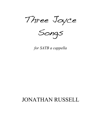Three Joyce

Songs

*for SATB a cappella*

## JONATHAN RUSSELL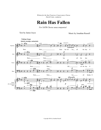*Written for the San Francisco Conservatory Chorus David Conte, conductor* 

## **Rain Has Fallen**

*For SATB Chorus unaccompanied*

Text by James Joyce Music by Jonathan Russell

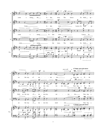

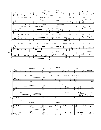

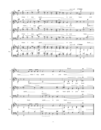

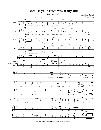## **Because your voice was at my side**



© Copyright 2012 by Jonathan Russell. All rights reserved.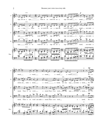

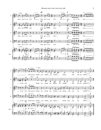

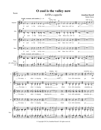## **O cool is the valley now**



© Copyright 2012 by Jonathan Russell. All rights reserved.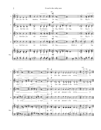